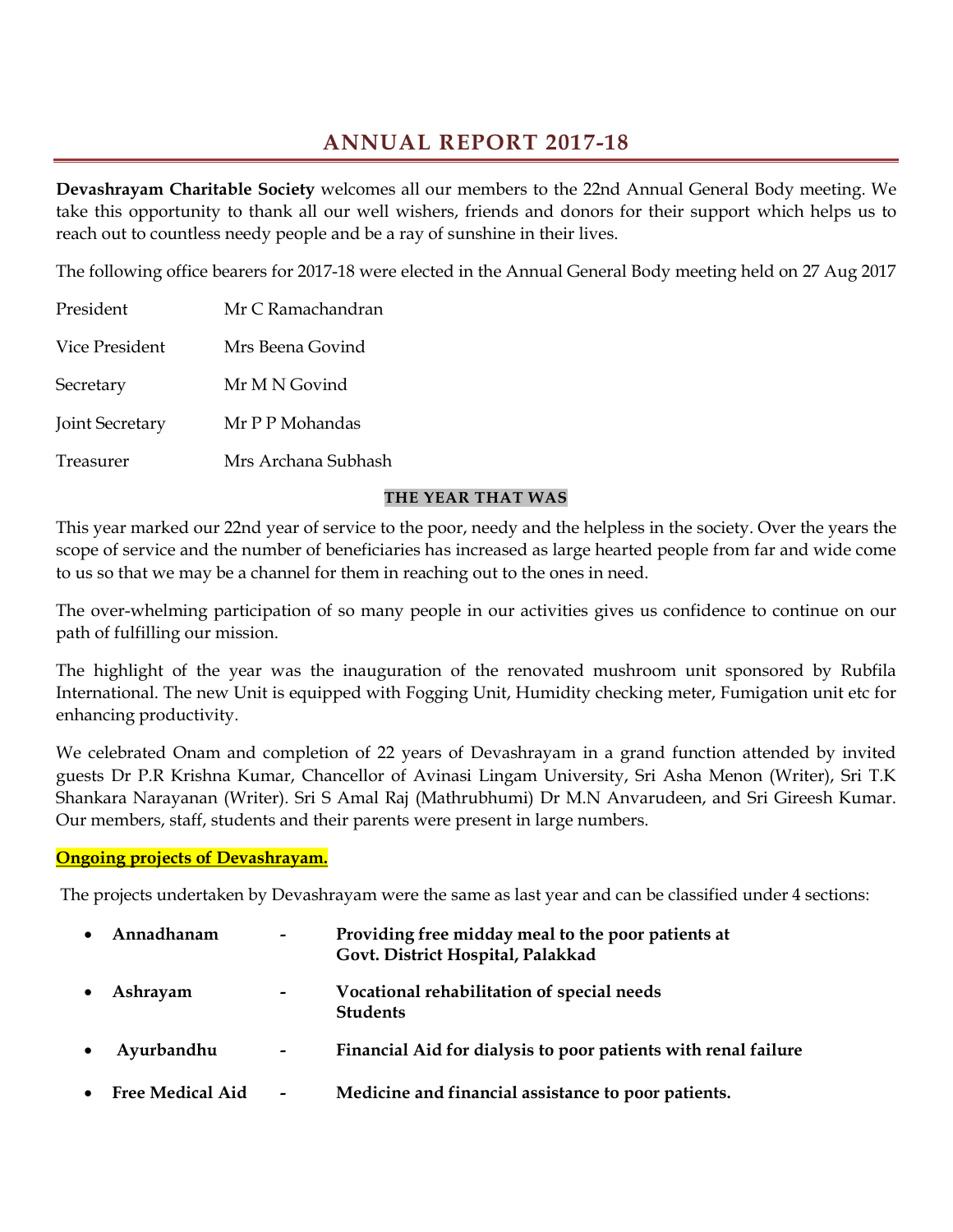# **ANNUAL REPORT 2017-18**

**Devashrayam Charitable Society** welcomes all our members to the 22nd Annual General Body meeting. We take this opportunity to thank all our well wishers, friends and donors for their support which helps us to reach out to countless needy people and be a ray of sunshine in their lives.

The following office bearers for 2017-18 were elected in the Annual General Body meeting held on 27 Aug 2017

| President              | Mr C Ramachandran   |  |  |
|------------------------|---------------------|--|--|
| Vice President         | Mrs Beena Govind    |  |  |
| Secretary              | Mr M N Govind       |  |  |
| <b>Joint Secretary</b> | Mr P P Mohandas     |  |  |
| Treasurer              | Mrs Archana Subhash |  |  |

### **THE YEAR THAT WAS**

This year marked our 22nd year of service to the poor, needy and the helpless in the society. Over the years the scope of service and the number of beneficiaries has increased as large hearted people from far and wide come to us so that we may be a channel for them in reaching out to the ones in need.

The over-whelming participation of so many people in our activities gives us confidence to continue on our path of fulfilling our mission.

The highlight of the year was the inauguration of the renovated mushroom unit sponsored by Rubfila International. The new Unit is equipped with Fogging Unit, Humidity checking meter, Fumigation unit etc for enhancing productivity.

We celebrated Onam and completion of 22 years of Devashrayam in a grand function attended by invited guests Dr P.R Krishna Kumar, Chancellor of Avinasi Lingam University, Sri Asha Menon (Writer), Sri T.K Shankara Narayanan (Writer). Sri S Amal Raj (Mathrubhumi) Dr M.N Anvarudeen, and Sri Gireesh Kumar. Our members, staff, students and their parents were present in large numbers.

### **Ongoing projects of Devashrayam.**

The projects undertaken by Devashrayam were the same as last year and can be classified under 4 sections:

| $\bullet$ | Annadhanam              | $\overline{\phantom{a}}$ | Providing free midday meal to the poor patients at<br>Govt. District Hospital, Palakkad |
|-----------|-------------------------|--------------------------|-----------------------------------------------------------------------------------------|
| $\bullet$ | Ashrayam                | $\overline{\phantom{a}}$ | Vocational rehabilitation of special needs<br><b>Students</b>                           |
| $\bullet$ | Ayurbandhu              | $\overline{\phantom{a}}$ | Financial Aid for dialysis to poor patients with renal failure                          |
| $\bullet$ | <b>Free Medical Aid</b> |                          | Medicine and financial assistance to poor patients.                                     |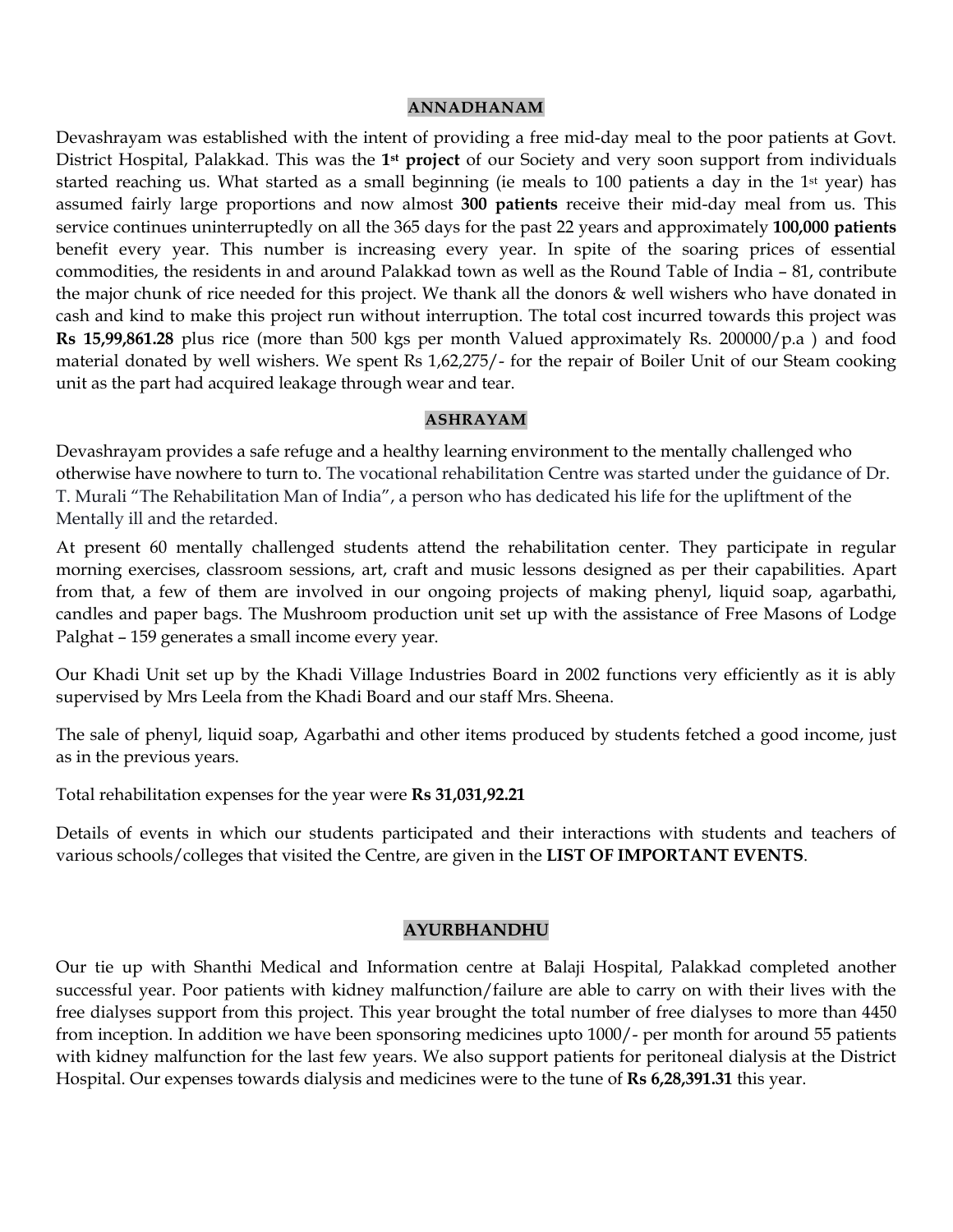#### **ANNADHANAM**

Devashrayam was established with the intent of providing a free mid-day meal to the poor patients at Govt. District Hospital, Palakkad. This was the **1st project** of our Society and very soon support from individuals started reaching us. What started as a small beginning (ie meals to 100 patients a day in the 1st year) has assumed fairly large proportions and now almost **300 patients** receive their mid-day meal from us. This service continues uninterruptedly on all the 365 days for the past 22 years and approximately **100,000 patients**  benefit every year. This number is increasing every year. In spite of the soaring prices of essential commodities, the residents in and around Palakkad town as well as the Round Table of India – 81, contribute the major chunk of rice needed for this project. We thank all the donors & well wishers who have donated in cash and kind to make this project run without interruption. The total cost incurred towards this project was **Rs 15,99,861.28** plus rice (more than 500 kgs per month Valued approximately Rs. 200000/p.a ) and food material donated by well wishers. We spent Rs 1,62,275/- for the repair of Boiler Unit of our Steam cooking unit as the part had acquired leakage through wear and tear.

#### **ASHRAYAM**

Devashrayam provides a safe refuge and a healthy learning environment to the mentally challenged who otherwise have nowhere to turn to. The vocational rehabilitation Centre was started under the guidance of Dr. T. Murali "The Rehabilitation Man of India", a person who has dedicated his life for the upliftment of the Mentally ill and the retarded.

At present 60 mentally challenged students attend the rehabilitation center. They participate in regular morning exercises, classroom sessions, art, craft and music lessons designed as per their capabilities. Apart from that, a few of them are involved in our ongoing projects of making phenyl, liquid soap, agarbathi, candles and paper bags. The Mushroom production unit set up with the assistance of Free Masons of Lodge Palghat – 159 generates a small income every year.

Our Khadi Unit set up by the Khadi Village Industries Board in 2002 functions very efficiently as it is ably supervised by Mrs Leela from the Khadi Board and our staff Mrs. Sheena.

The sale of phenyl, liquid soap, Agarbathi and other items produced by students fetched a good income, just as in the previous years.

Total rehabilitation expenses for the year were **Rs 31,031,92.21**

Details of events in which our students participated and their interactions with students and teachers of various schools/colleges that visited the Centre, are given in the **LIST OF IMPORTANT EVENTS**.

#### **AYURBHANDHU**

Our tie up with Shanthi Medical and Information centre at Balaji Hospital, Palakkad completed another successful year. Poor patients with kidney malfunction/failure are able to carry on with their lives with the free dialyses support from this project. This year brought the total number of free dialyses to more than 4450 from inception. In addition we have been sponsoring medicines upto 1000/- per month for around 55 patients with kidney malfunction for the last few years. We also support patients for peritoneal dialysis at the District Hospital. Our expenses towards dialysis and medicines were to the tune of **Rs 6,28,391.31** this year.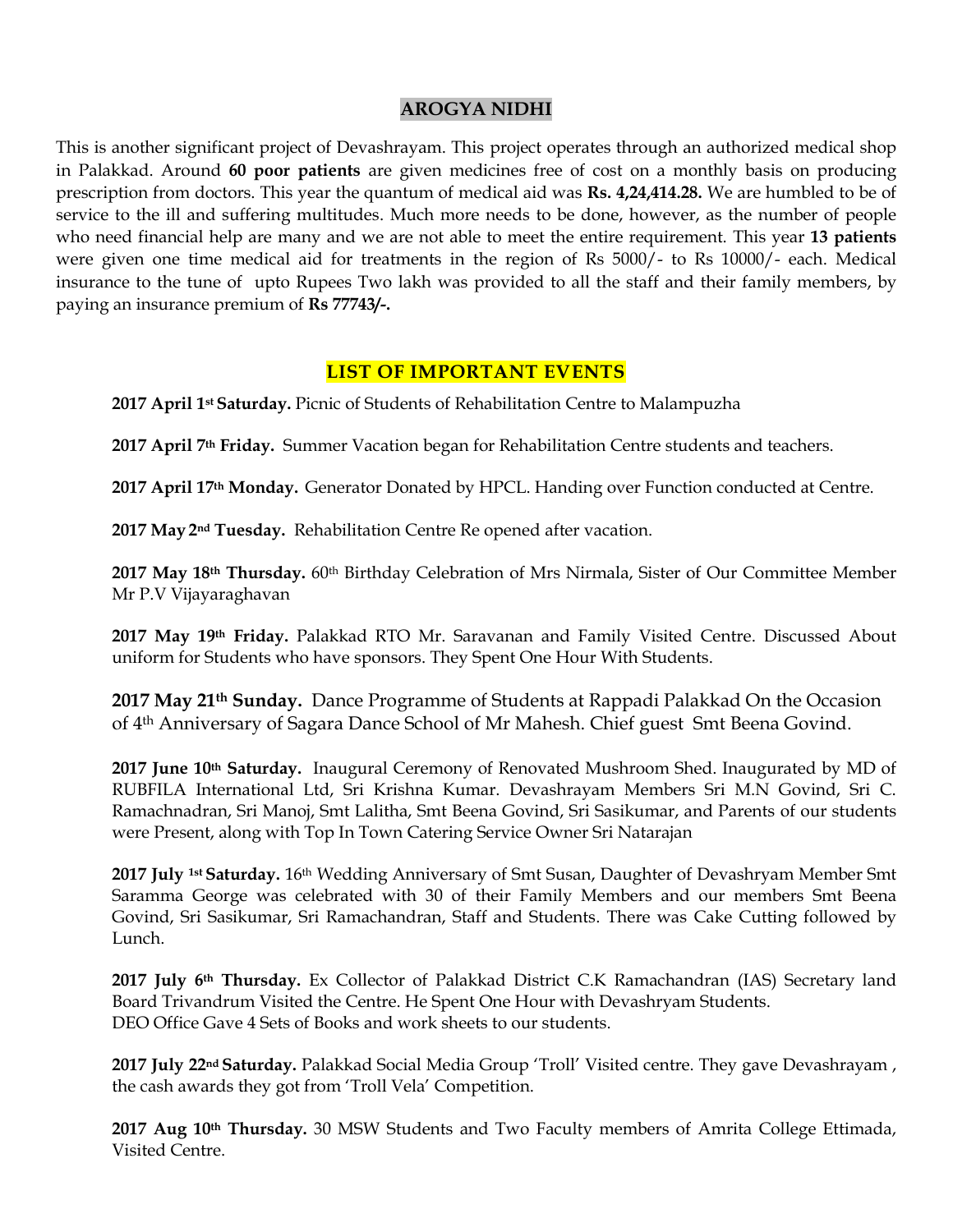## **AROGYA NIDHI**

This is another significant project of Devashrayam. This project operates through an authorized medical shop in Palakkad. Around **60 poor patients** are given medicines free of cost on a monthly basis on producing prescription from doctors. This year the quantum of medical aid was **Rs. 4,24,414.28.** We are humbled to be of service to the ill and suffering multitudes. Much more needs to be done, however, as the number of people who need financial help are many and we are not able to meet the entire requirement. This year **13 patients** were given one time medical aid for treatments in the region of Rs 5000/- to Rs 10000/- each. Medical insurance to the tune of upto Rupees Two lakh was provided to all the staff and their family members, by paying an insurance premium of **Rs 77743/-.** 

## **LIST OF IMPORTANT EVENTS**

**2017 April 1st Saturday.** Picnic of Students of Rehabilitation Centre to Malampuzha

**2017 April 7th Friday.** Summer Vacation began for Rehabilitation Centre students and teachers.

**2017 April 17th Monday.** Generator Donated by HPCL. Handing over Function conducted at Centre.

**2017 May 2nd Tuesday.** Rehabilitation Centre Re opened after vacation.

**2017 May 18th Thursday.** 60th Birthday Celebration of Mrs Nirmala, Sister of Our Committee Member Mr P.V Vijayaraghavan

**2017 May 19th Friday.** Palakkad RTO Mr. Saravanan and Family Visited Centre. Discussed About uniform for Students who have sponsors. They Spent One Hour With Students.

**2017 May 21th Sunday.** Dance Programme of Students at Rappadi Palakkad On the Occasion of 4th Anniversary of Sagara Dance School of Mr Mahesh. Chief guest Smt Beena Govind.

**2017 June 10th Saturday.** Inaugural Ceremony of Renovated Mushroom Shed. Inaugurated by MD of RUBFILA International Ltd, Sri Krishna Kumar. Devashrayam Members Sri M.N Govind, Sri C. Ramachnadran, Sri Manoj, Smt Lalitha, Smt Beena Govind, Sri Sasikumar, and Parents of our students were Present, along with Top In Town Catering Service Owner Sri Natarajan

**2017 July 1st Saturday.** 16th Wedding Anniversary of Smt Susan, Daughter of Devashryam Member Smt Saramma George was celebrated with 30 of their Family Members and our members Smt Beena Govind, Sri Sasikumar, Sri Ramachandran, Staff and Students. There was Cake Cutting followed by Lunch.

**2017 July 6th Thursday.** Ex Collector of Palakkad District C.K Ramachandran (IAS) Secretary land Board Trivandrum Visited the Centre. He Spent One Hour with Devashryam Students. DEO Office Gave 4 Sets of Books and work sheets to our students.

**2017 July 22nd Saturday.** Palakkad Social Media Group "Troll" Visited centre. They gave Devashrayam , the cash awards they got from "Troll Vela" Competition.

**2017 Aug 10th Thursday.** 30 MSW Students and Two Faculty members of Amrita College Ettimada, Visited Centre.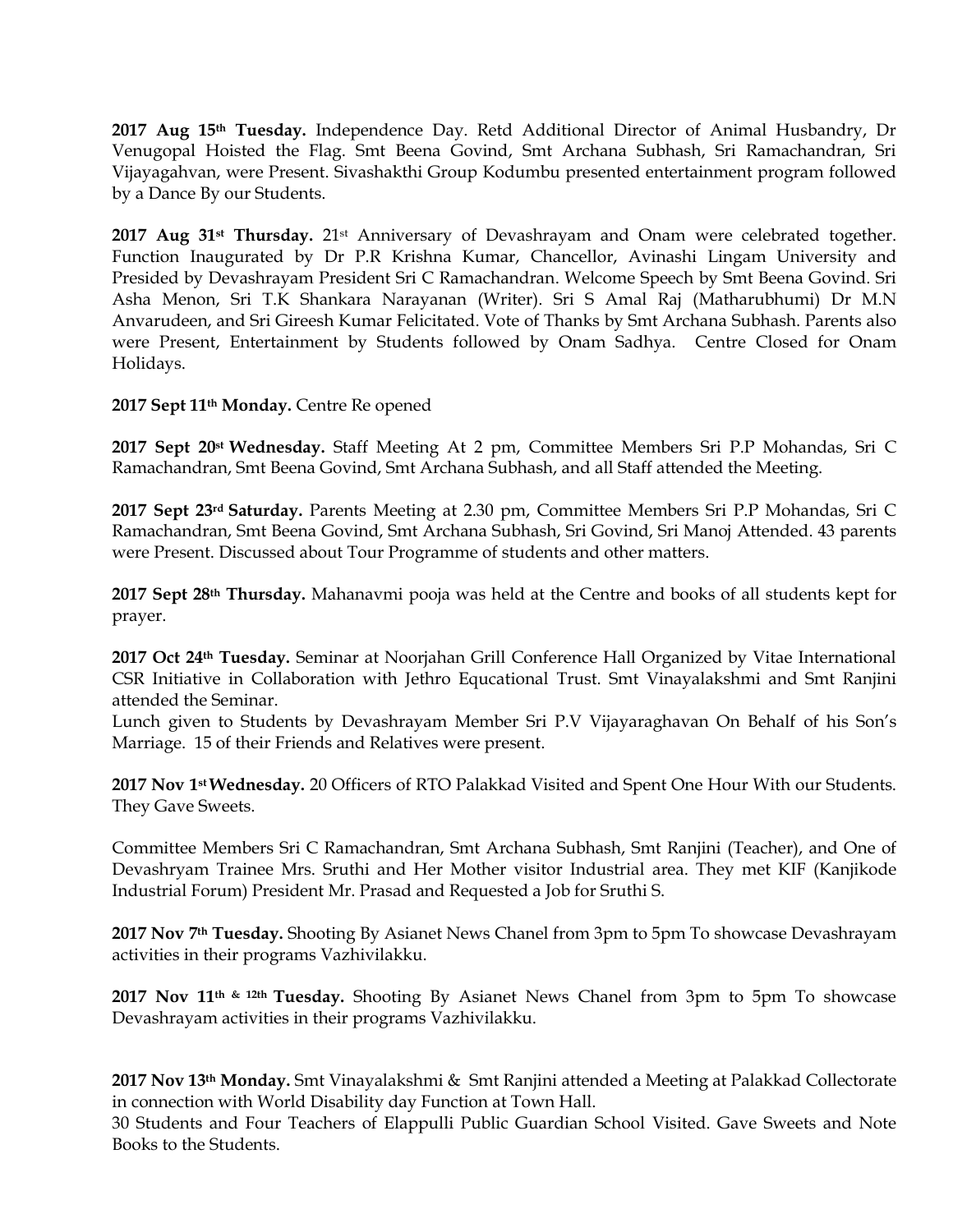**2017 Aug 15th Tuesday.** Independence Day. Retd Additional Director of Animal Husbandry, Dr Venugopal Hoisted the Flag. Smt Beena Govind, Smt Archana Subhash, Sri Ramachandran, Sri Vijayagahvan, were Present. Sivashakthi Group Kodumbu presented entertainment program followed by a Dance By our Students.

**2017 Aug 31st Thursday.** 21st Anniversary of Devashrayam and Onam were celebrated together. Function Inaugurated by Dr P.R Krishna Kumar, Chancellor, Avinashi Lingam University and Presided by Devashrayam President Sri C Ramachandran. Welcome Speech by Smt Beena Govind. Sri Asha Menon, Sri T.K Shankara Narayanan (Writer). Sri S Amal Raj (Matharubhumi) Dr M.N Anvarudeen, and Sri Gireesh Kumar Felicitated. Vote of Thanks by Smt Archana Subhash. Parents also were Present, Entertainment by Students followed by Onam Sadhya. Centre Closed for Onam Holidays.

**2017 Sept 11th Monday.** Centre Re opened

**2017 Sept 20st Wednesday.** Staff Meeting At 2 pm, Committee Members Sri P.P Mohandas, Sri C Ramachandran, Smt Beena Govind, Smt Archana Subhash, and all Staff attended the Meeting.

**2017 Sept 23rd Saturday.** Parents Meeting at 2.30 pm, Committee Members Sri P.P Mohandas, Sri C Ramachandran, Smt Beena Govind, Smt Archana Subhash, Sri Govind, Sri Manoj Attended. 43 parents were Present. Discussed about Tour Programme of students and other matters.

**2017 Sept 28th Thursday.** Mahanavmi pooja was held at the Centre and books of all students kept for prayer.

**2017 Oct 24th Tuesday.** Seminar at Noorjahan Grill Conference Hall Organized by Vitae International CSR Initiative in Collaboration with Jethro Equcational Trust. Smt Vinayalakshmi and Smt Ranjini attended the Seminar.

Lunch given to Students by Devashrayam Member Sri P.V Vijayaraghavan On Behalf of his Son"s Marriage. 15 of their Friends and Relatives were present.

**2017 Nov 1st Wednesday.** 20 Officers of RTO Palakkad Visited and Spent One Hour With our Students. They Gave Sweets.

Committee Members Sri C Ramachandran, Smt Archana Subhash, Smt Ranjini (Teacher), and One of Devashryam Trainee Mrs. Sruthi and Her Mother visitor Industrial area. They met KIF (Kanjikode Industrial Forum) President Mr. Prasad and Requested a Job for Sruthi S.

**2017 Nov 7th Tuesday.** Shooting By Asianet News Chanel from 3pm to 5pm To showcase Devashrayam activities in their programs Vazhivilakku.

**2017 Nov 11th & 12th Tuesday.** Shooting By Asianet News Chanel from 3pm to 5pm To showcase Devashrayam activities in their programs Vazhivilakku.

**2017 Nov 13th Monday.** Smt Vinayalakshmi & Smt Ranjini attended a Meeting at Palakkad Collectorate in connection with World Disability day Function at Town Hall.

30 Students and Four Teachers of Elappulli Public Guardian School Visited. Gave Sweets and Note Books to the Students.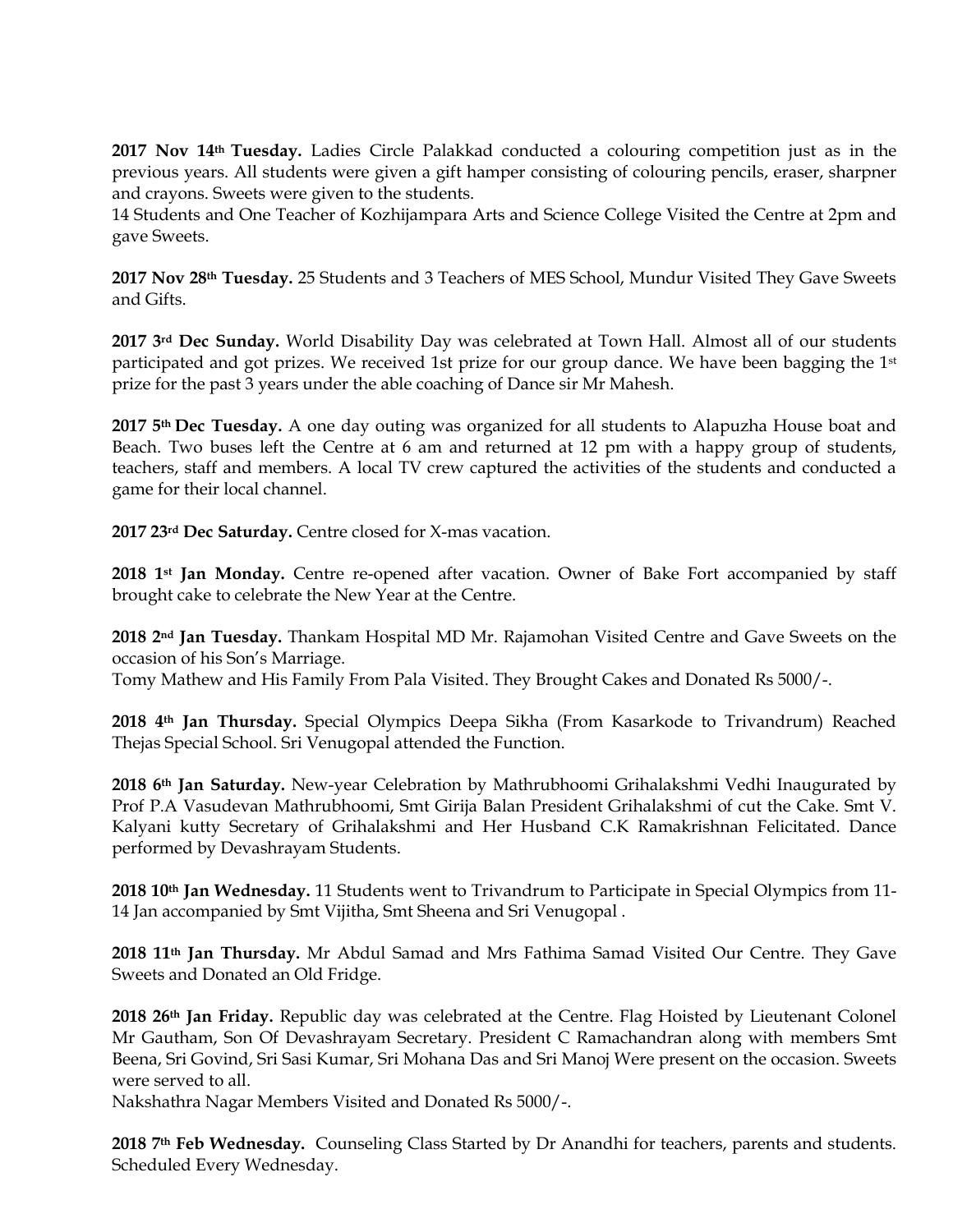**2017 Nov 14th Tuesday.** Ladies Circle Palakkad conducted a colouring competition just as in the previous years. All students were given a gift hamper consisting of colouring pencils, eraser, sharpner and crayons. Sweets were given to the students.

14 Students and One Teacher of Kozhijampara Arts and Science College Visited the Centre at 2pm and gave Sweets.

**2017 Nov 28th Tuesday.** 25 Students and 3 Teachers of MES School, Mundur Visited They Gave Sweets and Gifts.

**2017 3rd Dec Sunday.** World Disability Day was celebrated at Town Hall. Almost all of our students participated and got prizes. We received 1st prize for our group dance. We have been bagging the 1st prize for the past 3 years under the able coaching of Dance sir Mr Mahesh.

**2017 5th Dec Tuesday.** A one day outing was organized for all students to Alapuzha House boat and Beach. Two buses left the Centre at 6 am and returned at 12 pm with a happy group of students, teachers, staff and members. A local TV crew captured the activities of the students and conducted a game for their local channel.

**2017 23rd Dec Saturday.** Centre closed for X-mas vacation.

**2018 1st Jan Monday.** Centre re-opened after vacation. Owner of Bake Fort accompanied by staff brought cake to celebrate the New Year at the Centre.

**2018 2nd Jan Tuesday.** Thankam Hospital MD Mr. Rajamohan Visited Centre and Gave Sweets on the occasion of his Son"s Marriage.

Tomy Mathew and His Family From Pala Visited. They Brought Cakes and Donated Rs 5000/-.

**2018 4th Jan Thursday.** Special Olympics Deepa Sikha (From Kasarkode to Trivandrum) Reached Thejas Special School. Sri Venugopal attended the Function.

**2018 6th Jan Saturday.** New-year Celebration by Mathrubhoomi Grihalakshmi Vedhi Inaugurated by Prof P.A Vasudevan Mathrubhoomi, Smt Girija Balan President Grihalakshmi of cut the Cake. Smt V. Kalyani kutty Secretary of Grihalakshmi and Her Husband C.K Ramakrishnan Felicitated. Dance performed by Devashrayam Students.

**2018 10th Jan Wednesday.** 11 Students went to Trivandrum to Participate in Special Olympics from 11- 14 Jan accompanied by Smt Vijitha, Smt Sheena and Sri Venugopal .

**2018 11th Jan Thursday.** Mr Abdul Samad and Mrs Fathima Samad Visited Our Centre. They Gave Sweets and Donated an Old Fridge.

**2018 26th Jan Friday.** Republic day was celebrated at the Centre. Flag Hoisted by Lieutenant Colonel Mr Gautham, Son Of Devashrayam Secretary. President C Ramachandran along with members Smt Beena, Sri Govind, Sri Sasi Kumar, Sri Mohana Das and Sri Manoj Were present on the occasion. Sweets were served to all.

Nakshathra Nagar Members Visited and Donated Rs 5000/-.

**2018 7th Feb Wednesday.** Counseling Class Started by Dr Anandhi for teachers, parents and students. Scheduled Every Wednesday.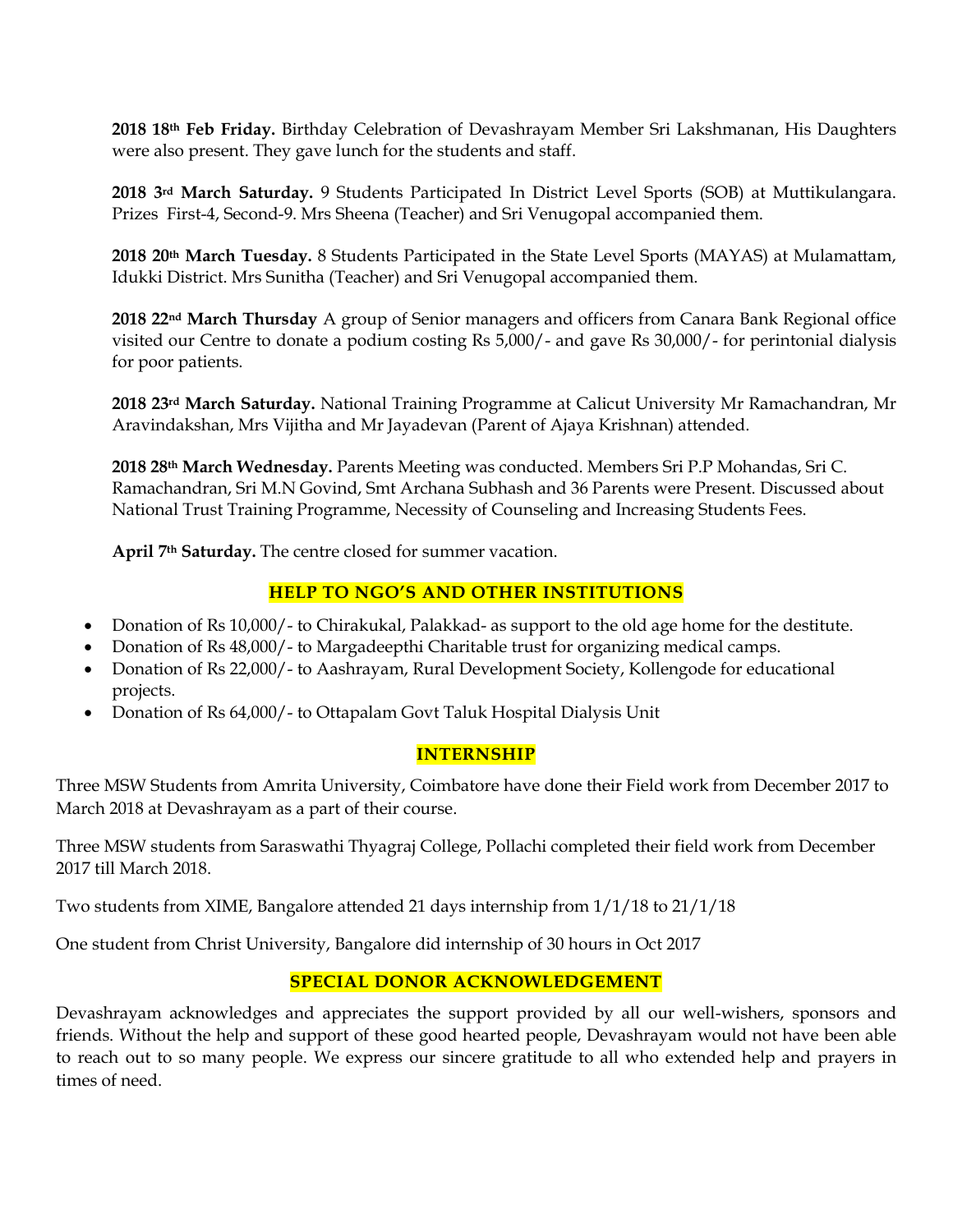**2018 18th Feb Friday.** Birthday Celebration of Devashrayam Member Sri Lakshmanan, His Daughters were also present. They gave lunch for the students and staff.

**2018 3rd March Saturday.** 9 Students Participated In District Level Sports (SOB) at Muttikulangara. Prizes First-4, Second-9. Mrs Sheena (Teacher) and Sri Venugopal accompanied them.

**2018 20th March Tuesday.** 8 Students Participated in the State Level Sports (MAYAS) at Mulamattam, Idukki District. Mrs Sunitha (Teacher) and Sri Venugopal accompanied them.

**2018 22nd March Thursday** A group of Senior managers and officers from Canara Bank Regional office visited our Centre to donate a podium costing Rs 5,000/- and gave Rs 30,000/- for perintonial dialysis for poor patients.

**2018 23rd March Saturday.** National Training Programme at Calicut University Mr Ramachandran, Mr Aravindakshan, Mrs Vijitha and Mr Jayadevan (Parent of Ajaya Krishnan) attended.

**2018 28th March Wednesday.** Parents Meeting was conducted. Members Sri P.P Mohandas, Sri C. Ramachandran, Sri M.N Govind, Smt Archana Subhash and 36 Parents were Present. Discussed about National Trust Training Programme, Necessity of Counseling and Increasing Students Fees.

**April 7th Saturday.** The centre closed for summer vacation.

## **HELP TO NGO'S AND OTHER INSTITUTIONS**

- Donation of Rs 10,000/- to Chirakukal, Palakkad- as support to the old age home for the destitute.
- Donation of Rs 48,000/- to Margadeepthi Charitable trust for organizing medical camps.
- Donation of Rs 22,000/- to Aashrayam, Rural Development Society, Kollengode for educational projects.
- Donation of Rs 64,000/ to Ottapalam Govt Taluk Hospital Dialysis Unit

### **INTERNSHIP**

Three MSW Students from Amrita University, Coimbatore have done their Field work from December 2017 to March 2018 at Devashrayam as a part of their course.

Three MSW students from Saraswathi Thyagraj College, Pollachi completed their field work from December 2017 till March 2018.

Two students from XIME, Bangalore attended 21 days internship from 1/1/18 to 21/1/18

One student from Christ University, Bangalore did internship of 30 hours in Oct 2017

## **SPECIAL DONOR ACKNOWLEDGEMENT**

Devashrayam acknowledges and appreciates the support provided by all our well-wishers, sponsors and friends. Without the help and support of these good hearted people, Devashrayam would not have been able to reach out to so many people. We express our sincere gratitude to all who extended help and prayers in times of need.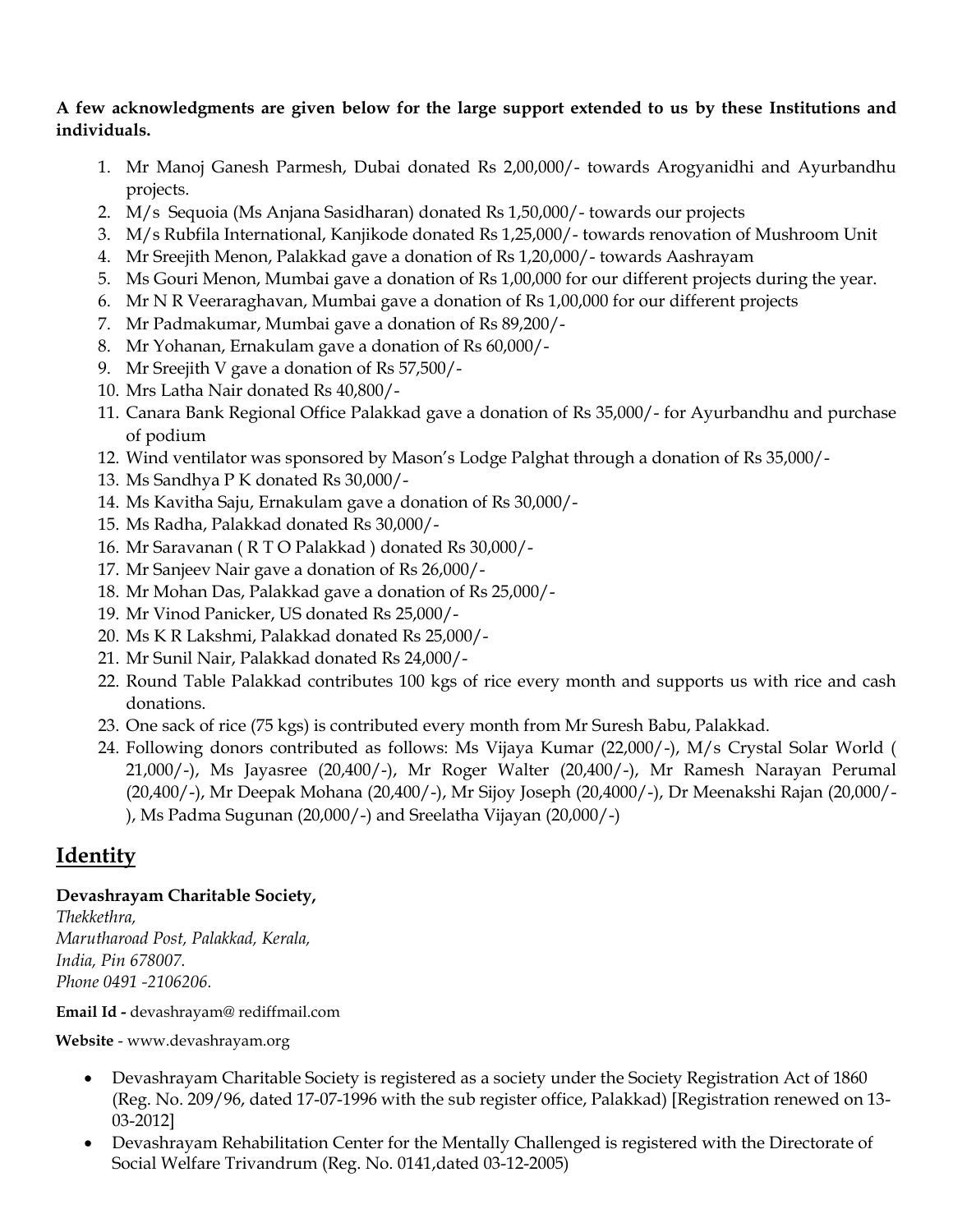## **A few acknowledgments are given below for the large support extended to us by these Institutions and individuals.**

- 1. Mr Manoj Ganesh Parmesh, Dubai donated Rs 2,00,000/- towards Arogyanidhi and Ayurbandhu projects.
- 2. M/s Sequoia (Ms Anjana Sasidharan) donated Rs 1,50,000/- towards our projects
- 3. M/s Rubfila International, Kanjikode donated Rs 1,25,000/- towards renovation of Mushroom Unit
- 4. Mr Sreejith Menon, Palakkad gave a donation of Rs 1,20,000/- towards Aashrayam
- 5. Ms Gouri Menon, Mumbai gave a donation of Rs 1,00,000 for our different projects during the year.
- 6. Mr N R Veeraraghavan, Mumbai gave a donation of Rs 1,00,000 for our different projects
- 7. Mr Padmakumar, Mumbai gave a donation of Rs 89,200/-
- 8. Mr Yohanan, Ernakulam gave a donation of Rs 60,000/-
- 9. Mr Sreejith V gave a donation of Rs 57,500/-
- 10. Mrs Latha Nair donated Rs 40,800/-
- 11. Canara Bank Regional Office Palakkad gave a donation of Rs 35,000/- for Ayurbandhu and purchase of podium
- 12. Wind ventilator was sponsored by Mason"s Lodge Palghat through a donation of Rs 35,000/-
- 13. Ms Sandhya P K donated Rs 30,000/-
- 14. Ms Kavitha Saju, Ernakulam gave a donation of Rs 30,000/-
- 15. Ms Radha, Palakkad donated Rs 30,000/-
- 16. Mr Saravanan ( R T O Palakkad ) donated Rs 30,000/-
- 17. Mr Sanjeev Nair gave a donation of Rs 26,000/-
- 18. Mr Mohan Das, Palakkad gave a donation of Rs 25,000/-
- 19. Mr Vinod Panicker, US donated Rs 25,000/-
- 20. Ms K R Lakshmi, Palakkad donated Rs 25,000/-
- 21. Mr Sunil Nair, Palakkad donated Rs 24,000/-
- 22. Round Table Palakkad contributes 100 kgs of rice every month and supports us with rice and cash donations.
- 23. One sack of rice (75 kgs) is contributed every month from Mr Suresh Babu, Palakkad.
- 24. Following donors contributed as follows: Ms Vijaya Kumar (22,000/-), M/s Crystal Solar World ( 21,000/-), Ms Jayasree (20,400/-), Mr Roger Walter (20,400/-), Mr Ramesh Narayan Perumal (20,400/-), Mr Deepak Mohana (20,400/-), Mr Sijoy Joseph (20,4000/-), Dr Meenakshi Rajan (20,000/- ), Ms Padma Sugunan (20,000/-) and Sreelatha Vijayan (20,000/-)

# **Identity**

## **Devashrayam Charitable Society,**

*Thekkethra, Marutharoad Post, Palakkad, Kerala, India, Pin 678007. Phone 0491 -2106206.* 

**Email Id -** devashrayam@ rediffmail.com

**Website** - www.devashrayam.org

- Devashrayam Charitable Society is registered as a society under the Society Registration Act of 1860 (Reg. No. 209/96, dated 17-07-1996 with the sub register office, Palakkad) [Registration renewed on 13- 03-2012]
- Devashrayam Rehabilitation Center for the Mentally Challenged is registered with the Directorate of Social Welfare Trivandrum (Reg. No. 0141,dated 03-12-2005)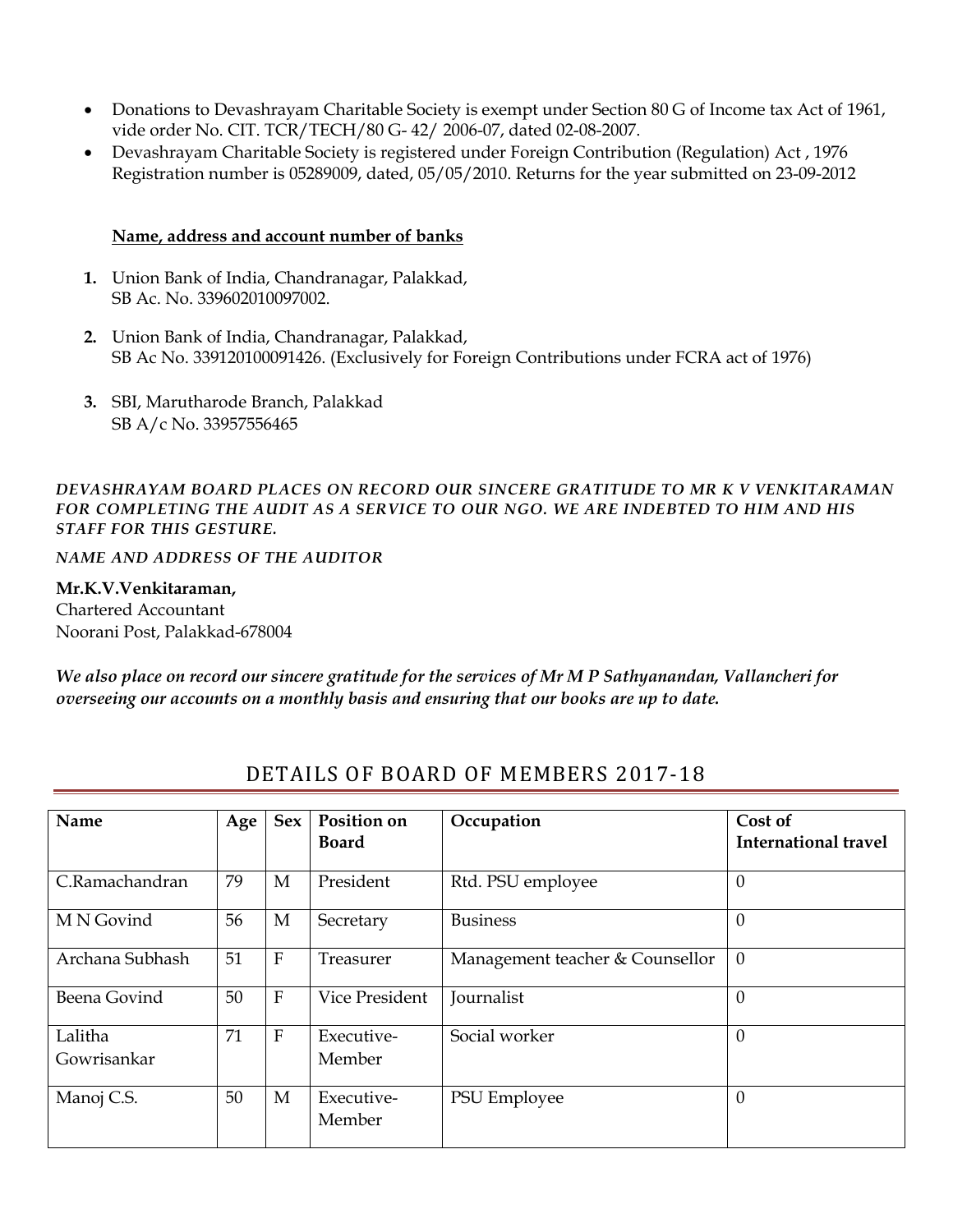- Donations to Devashrayam Charitable Society is exempt under Section 80 G of Income tax Act of 1961, vide order No. CIT. TCR/TECH/80 G- 42/ 2006-07, dated 02-08-2007.
- Devashrayam Charitable Society is registered under Foreign Contribution (Regulation) Act , 1976 Registration number is 05289009, dated, 05/05/2010. Returns for the year submitted on 23-09-2012

#### **Name, address and account number of banks**

- **1.** Union Bank of India, Chandranagar, Palakkad, SB Ac. No. 339602010097002.
- **2.** Union Bank of India, Chandranagar, Palakkad, SB Ac No. 339120100091426. (Exclusively for Foreign Contributions under FCRA act of 1976)
- **3.** SBI, Marutharode Branch, Palakkad SB A/c No. 33957556465

*DEVASHRAYAM BOARD PLACES ON RECORD OUR SINCERE GRATITUDE TO MR K V VENKITARAMAN FOR COMPLETING THE AUDIT AS A SERVICE TO OUR NGO. WE ARE INDEBTED TO HIM AND HIS STAFF FOR THIS GESTURE.*

*NAME AND ADDRESS OF THE AUDITOR*

#### **Mr.K.V.Venkitaraman,**

Chartered Accountant Noorani Post, Palakkad-678004

*We also place on record our sincere gratitude for the services of Mr M P Sathyanandan, Vallancheri for overseeing our accounts on a monthly basis and ensuring that our books are up to date.*

| Name                   | Age | <b>Sex</b>                | Position on<br><b>Board</b> | Occupation                      | Cost of<br>International travel |
|------------------------|-----|---------------------------|-----------------------------|---------------------------------|---------------------------------|
| C.Ramachandran         | 79  | M                         | President                   | Rtd. PSU employee               | $\overline{0}$                  |
| M N Govind             | 56  | M                         | Secretary                   | <b>Business</b>                 | $\theta$                        |
| Archana Subhash        | 51  | $\boldsymbol{\mathrm{F}}$ | Treasurer                   | Management teacher & Counsellor | $\overline{0}$                  |
| Beena Govind           | 50  | $\mathbf{F}$              | Vice President              | Journalist                      | $\overline{0}$                  |
| Lalitha<br>Gowrisankar | 71  | $\boldsymbol{\mathrm{F}}$ | Executive-<br>Member        | Social worker                   | $\overline{0}$                  |
| Manoj C.S.             | 50  | M                         | Executive-<br>Member        | PSU Employee                    | $\overline{0}$                  |

# DETAILS OF BOARD OF MEMBERS 2017-18